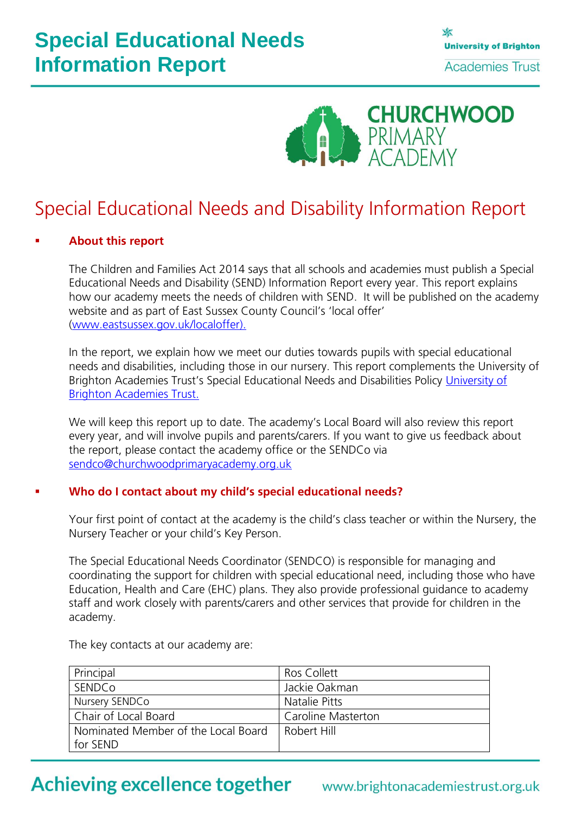# **Special Educational Needs Information Report**



## Special Educational Needs and Disability Information Report

#### **About this report**

The Children and Families Act 2014 says that all schools and academies must publish a Special Educational Needs and Disability (SEND) Information Report every year. This report explains how our academy meets the needs of children with SEND. It will be published on the academy website and as part of East Sussex County Council's 'local offer' [\(www.eastsussex.gov.uk/localoffer\)](http://www.eastsussex.gov.uk/localoffer).

In the report, we explain how we meet our duties towards pupils with special educational needs and disabilities, including those in our nursery. This report complements the University of Brighton Academies Trust's Special Educational Needs and Disabilities Policy University of [Brighton Academies Trust.](http://www.brightonacademiestrust.org.uk/about/policies)

We will keep this report up to date. The academy's Local Board will also review this report every year, and will involve pupils and parents/carers. If you want to give us feedback about the report, please contact the academy office or the SENDCo via [sendco@churchwoodprimaryacademy.org.uk](mailto:sendco@churchwoodprimaryacademy.org.uk)

#### **Who do I contact about my child's special educational needs?**

Your first point of contact at the academy is the child's class teacher or within the Nursery, the Nursery Teacher or your child's Key Person.

The Special Educational Needs Coordinator (SENDCO) is responsible for managing and coordinating the support for children with special educational need, including those who have Education, Health and Care (EHC) plans. They also provide professional guidance to academy staff and work closely with parents/carers and other services that provide for children in the academy.

The key contacts at our academy are:

| Principal                           | Ros Collett        |
|-------------------------------------|--------------------|
| SENDCo                              | Jackie Oakman      |
| Nursery SENDCo                      | Natalie Pitts      |
| Chair of Local Board                | Caroline Masterton |
| Nominated Member of the Local Board | Robert Hill        |
| for SEND                            |                    |

### **Achieving excellence together**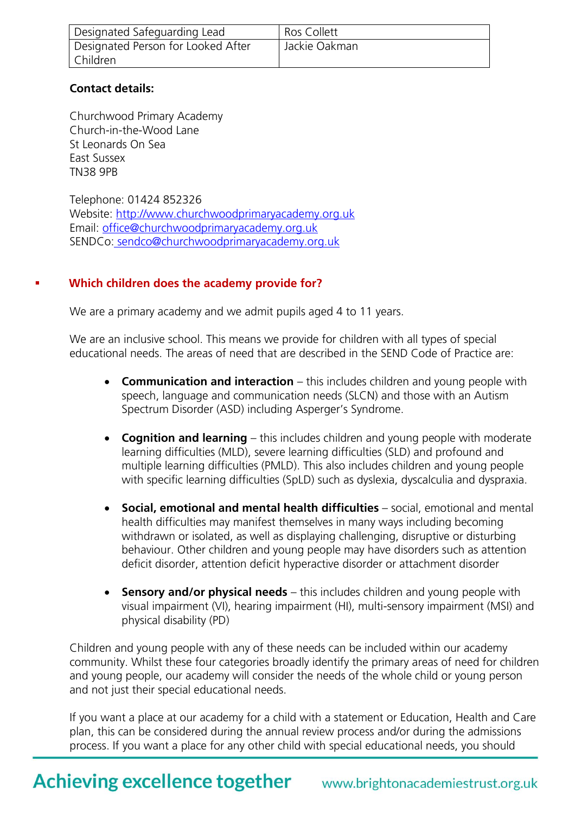| Designated Safeguarding Lead       | <b>Ros Collett</b> |
|------------------------------------|--------------------|
| Designated Person for Looked After | Jackie Oakman      |
| Children                           |                    |

#### **Contact details:**

Churchwood Primary Academy Church-in-the-Wood Lane St Leonards On Sea East Sussex TN38 9PB

Telephone: 01424 852326 Website: [http://www.churchwoodprimaryacademy.org.uk](http://www.churchwoodprimaryacademy.org.uk/) Email: [office@churchwoodprimaryacademy.org.uk](mailto:office@churchwoodprimaryacademy.org.uk) SENDCo: sendco@churchwoodprimaryacademy.org.uk

### **Which children does the academy provide for?**

We are a primary academy and we admit pupils aged 4 to 11 years.

We are an inclusive school. This means we provide for children with all types of special educational needs. The areas of need that are described in the SEND Code of Practice are:

- **Communication and interaction** this includes children and young people with speech, language and communication needs (SLCN) and those with an Autism Spectrum Disorder (ASD) including Asperger's Syndrome.
- **Cognition and learning** this includes children and young people with moderate learning difficulties (MLD), severe learning difficulties (SLD) and profound and multiple learning difficulties (PMLD). This also includes children and young people with specific learning difficulties (SpLD) such as dyslexia, dyscalculia and dyspraxia.
- **Social, emotional and mental health difficulties** social, emotional and mental health difficulties may manifest themselves in many ways including becoming withdrawn or isolated, as well as displaying challenging, disruptive or disturbing behaviour. Other children and young people may have disorders such as attention deficit disorder, attention deficit hyperactive disorder or attachment disorder
- **Sensory and/or physical needs** this includes children and young people with visual impairment (VI), hearing impairment (HI), multi-sensory impairment (MSI) and physical disability (PD)

Children and young people with any of these needs can be included within our academy community. Whilst these four categories broadly identify the primary areas of need for children and young people, our academy will consider the needs of the whole child or young person and not just their special educational needs.

If you want a place at our academy for a child with a statement or Education, Health and Care plan, this can be considered during the annual review process and/or during the admissions process. If you want a place for any other child with special educational needs, you should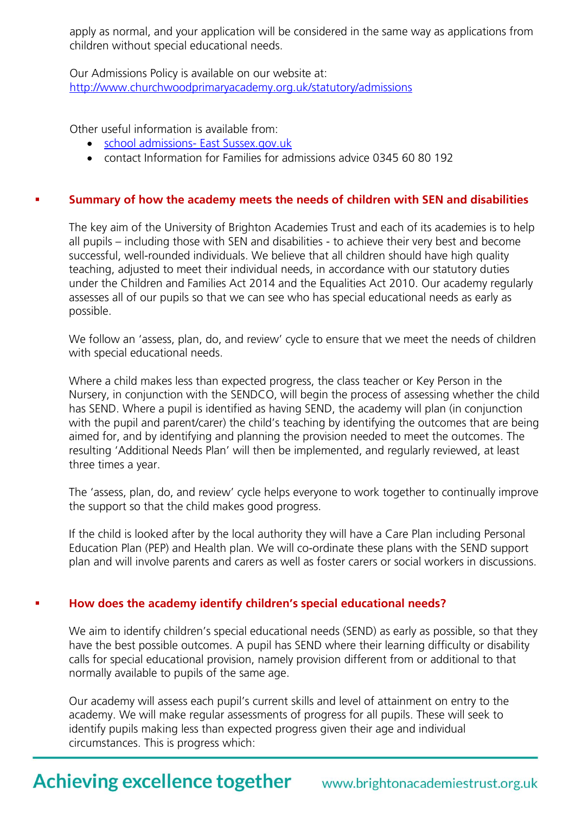apply as normal, and your application will be considered in the same way as applications from children without special educational needs.

Our Admissions Policy is available on our website at: <http://www.churchwoodprimaryacademy.org.uk/statutory/admissions>

Other useful information is available from:

- [school admissions-](http://www.eastsussex.gov.uk/educationandlearning/schools/findingaschool/default.htm) East Sussex.gov.uk
- contact Information for Families for admissions advice 0345 60 80 192

#### **Summary of how the academy meets the needs of children with SEN and disabilities**

The key aim of the University of Brighton Academies Trust and each of its academies is to help all pupils – including those with SEN and disabilities - to achieve their very best and become successful, well-rounded individuals. We believe that all children should have high quality teaching, adjusted to meet their individual needs, in accordance with our statutory duties under the Children and Families Act 2014 and the Equalities Act 2010. Our academy regularly assesses all of our pupils so that we can see who has special educational needs as early as possible.

We follow an 'assess, plan, do, and review' cycle to ensure that we meet the needs of children with special educational needs.

Where a child makes less than expected progress, the class teacher or Key Person in the Nursery, in conjunction with the SENDCO, will begin the process of assessing whether the child has SEND. Where a pupil is identified as having SEND, the academy will plan (in conjunction with the pupil and parent/carer) the child's teaching by identifying the outcomes that are being aimed for, and by identifying and planning the provision needed to meet the outcomes. The resulting 'Additional Needs Plan' will then be implemented, and regularly reviewed, at least three times a year.

The 'assess, plan, do, and review' cycle helps everyone to work together to continually improve the support so that the child makes good progress.

If the child is looked after by the local authority they will have a Care Plan including Personal Education Plan (PEP) and Health plan. We will co-ordinate these plans with the SEND support plan and will involve parents and carers as well as foster carers or social workers in discussions.

#### **How does the academy identify children's special educational needs?**

We aim to identify children's special educational needs (SEND) as early as possible, so that they have the best possible outcomes. A pupil has SEND where their learning difficulty or disability calls for special educational provision, namely provision different from or additional to that normally available to pupils of the same age.

Our academy will assess each pupil's current skills and level of attainment on entry to the academy. We will make regular assessments of progress for all pupils. These will seek to identify pupils making less than expected progress given their age and individual circumstances. This is progress which: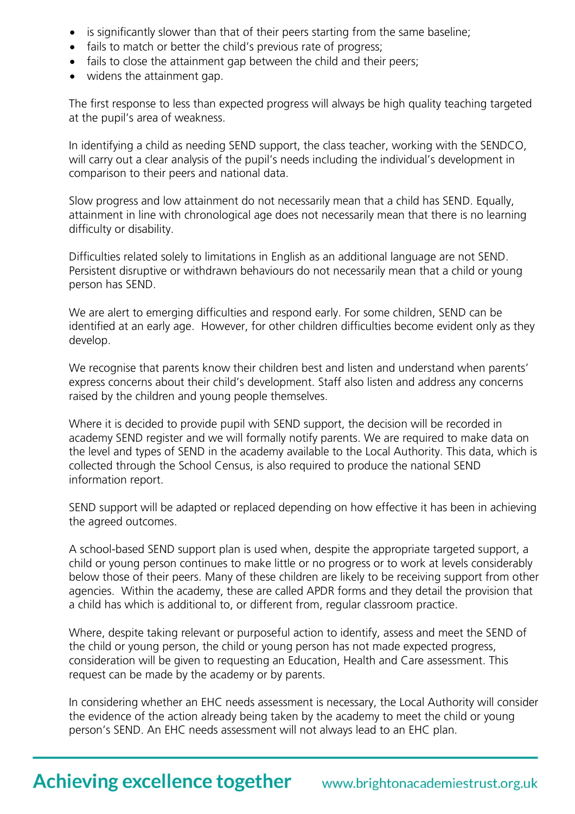- is significantly slower than that of their peers starting from the same baseline;
- fails to match or better the child's previous rate of progress;
- fails to close the attainment gap between the child and their peers;
- widens the attainment gap.

The first response to less than expected progress will always be high quality teaching targeted at the pupil's area of weakness.

In identifying a child as needing SEND support, the class teacher, working with the SENDCO, will carry out a clear analysis of the pupil's needs including the individual's development in comparison to their peers and national data.

Slow progress and low attainment do not necessarily mean that a child has SEND. Equally, attainment in line with chronological age does not necessarily mean that there is no learning difficulty or disability.

Difficulties related solely to limitations in English as an additional language are not SEND. Persistent disruptive or withdrawn behaviours do not necessarily mean that a child or young person has SEND.

We are alert to emerging difficulties and respond early. For some children, SEND can be identified at an early age. However, for other children difficulties become evident only as they develop.

We recognise that parents know their children best and listen and understand when parents' express concerns about their child's development. Staff also listen and address any concerns raised by the children and young people themselves.

Where it is decided to provide pupil with SEND support, the decision will be recorded in academy SEND register and we will formally notify parents. We are required to make data on the level and types of SEND in the academy available to the Local Authority. This data, which is collected through the School Census, is also required to produce the national SEND information report.

SEND support will be adapted or replaced depending on how effective it has been in achieving the agreed outcomes.

A school-based SEND support plan is used when, despite the appropriate targeted support, a child or young person continues to make little or no progress or to work at levels considerably below those of their peers. Many of these children are likely to be receiving support from other agencies. Within the academy, these are called APDR forms and they detail the provision that a child has which is additional to, or different from, regular classroom practice.

Where, despite taking relevant or purposeful action to identify, assess and meet the SEND of the child or young person, the child or young person has not made expected progress, consideration will be given to requesting an Education, Health and Care assessment. This request can be made by the academy or by parents.

In considering whether an EHC needs assessment is necessary, the Local Authority will consider the evidence of the action already being taken by the academy to meet the child or young person's SEND. An EHC needs assessment will not always lead to an EHC plan.

## **Achieving excellence together**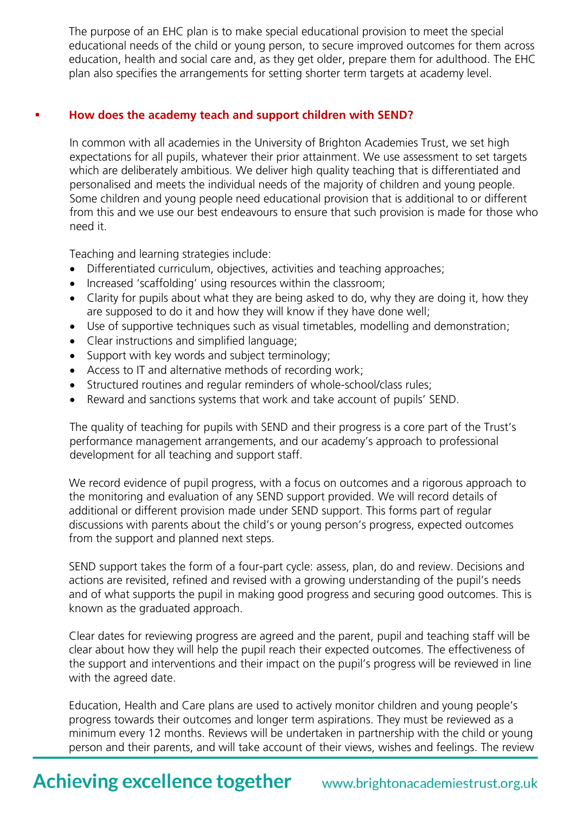The purpose of an EHC plan is to make special educational provision to meet the special educational needs of the child or young person, to secure improved outcomes for them across education, health and social care and, as they get older, prepare them for adulthood. The EHC plan also specifies the arrangements for setting shorter term targets at academy level.

#### **How does the academy teach and support children with SEND?**

In common with all academies in the University of Brighton Academies Trust, we set high expectations for all pupils, whatever their prior attainment. We use assessment to set targets which are deliberately ambitious. We deliver high quality teaching that is differentiated and personalised and meets the individual needs of the majority of children and young people. Some children and young people need educational provision that is additional to or different from this and we use our best endeavours to ensure that such provision is made for those who need it.

Teaching and learning strategies include:

- Differentiated curriculum, objectives, activities and teaching approaches;
- Increased 'scaffolding' using resources within the classroom;
- Clarity for pupils about what they are being asked to do, why they are doing it, how they are supposed to do it and how they will know if they have done well;
- Use of supportive techniques such as visual timetables, modelling and demonstration;
- Clear instructions and simplified language;
- Support with key words and subject terminology;
- Access to IT and alternative methods of recording work;
- Structured routines and regular reminders of whole-school/class rules;
- Reward and sanctions systems that work and take account of pupils' SEND.

The quality of teaching for pupils with SEND and their progress is a core part of the Trust's performance management arrangements, and our academy's approach to professional development for all teaching and support staff.

We record evidence of pupil progress, with a focus on outcomes and a rigorous approach to the monitoring and evaluation of any SEND support provided. We will record details of additional or different provision made under SEND support. This forms part of regular discussions with parents about the child's or young person's progress, expected outcomes from the support and planned next steps.

SEND support takes the form of a four-part cycle: assess, plan, do and review. Decisions and actions are revisited, refined and revised with a growing understanding of the pupil's needs and of what supports the pupil in making good progress and securing good outcomes. This is known as the graduated approach.

Clear dates for reviewing progress are agreed and the parent, pupil and teaching staff will be clear about how they will help the pupil reach their expected outcomes. The effectiveness of the support and interventions and their impact on the pupil's progress will be reviewed in line with the agreed date.

Education, Health and Care plans are used to actively monitor children and young people's progress towards their outcomes and longer term aspirations. They must be reviewed as a minimum every 12 months. Reviews will be undertaken in partnership with the child or young person and their parents, and will take account of their views, wishes and feelings. The review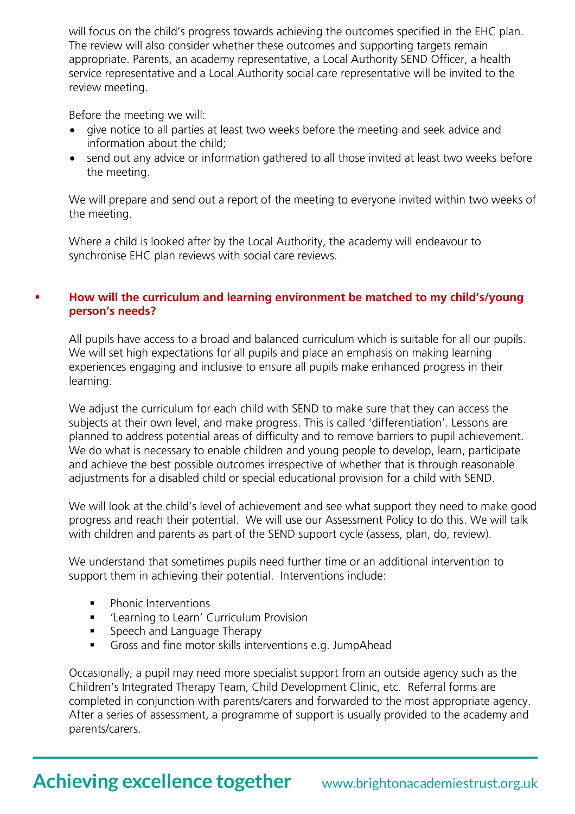will focus on the child's progress towards achieving the outcomes specified in the EHC plan. The review will also consider whether these outcomes and supporting targets remain appropriate. Parents, an academy representative, a Local Authority SEND Officer, a health service representative and a Local Authority social care representative will be invited to the review meeting.

Before the meeting we will:

- give notice to all parties at least two weeks before the meeting and seek advice and information about the child;
- send out any advice or information gathered to all those invited at least two weeks before the meeting.

We will prepare and send out a report of the meeting to everyone invited within two weeks of the meeting.

Where a child is looked after by the Local Authority, the academy will endeavour to synchronise EHC plan reviews with social care reviews.

#### **How will the curriculum and learning environment be matched to my child's/young person's needs?**

All pupils have access to a broad and balanced curriculum which is suitable for all our pupils. We will set high expectations for all pupils and place an emphasis on making learning experiences engaging and inclusive to ensure all pupils make enhanced progress in their learning.

We adjust the curriculum for each child with SEND to make sure that they can access the subjects at their own level, and make progress. This is called 'differentiation'. Lessons are planned to address potential areas of difficulty and to remove barriers to pupil achievement. We do what is necessary to enable children and young people to develop, learn, participate and achieve the best possible outcomes irrespective of whether that is through reasonable adjustments for a disabled child or special educational provision for a child with SEND.

We will look at the child's level of achievement and see what support they need to make good progress and reach their potential. We will use our Assessment Policy to do this. We will talk with children and parents as part of the SEND support cycle (assess, plan, do, review).

We understand that sometimes pupils need further time or an additional intervention to support them in achieving their potential. Interventions include:

- Phonic Interventions
- **EXEC**'Learning to Learn' Curriculum Provision
- **Speech and Language Therapy**
- Gross and fine motor skills interventions e.g. JumpAhead

Occasionally, a pupil may need more specialist support from an outside agency such as the Children's Integrated Therapy Team, Child Development Clinic, etc. Referral forms are completed in conjunction with parents/carers and forwarded to the most appropriate agency. After a series of assessment, a programme of support is usually provided to the academy and parents/carers.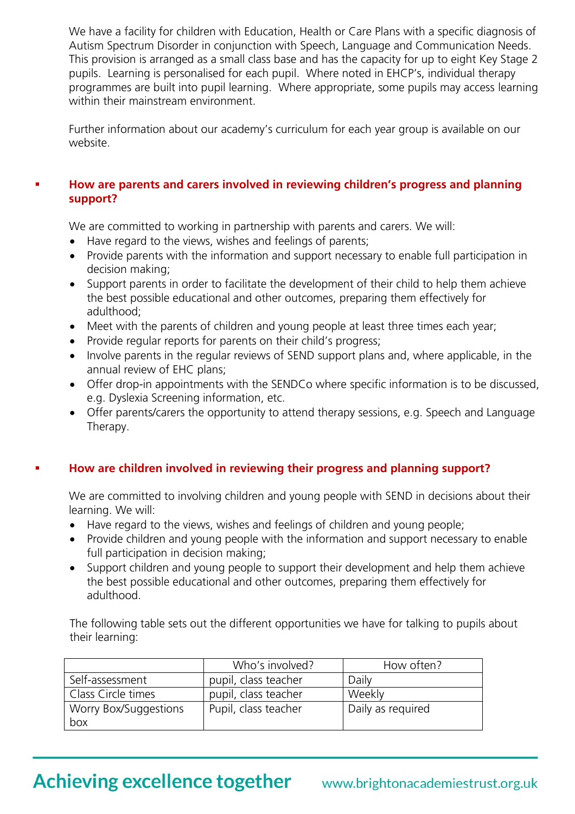We have a facility for children with Education, Health or Care Plans with a specific diagnosis of Autism Spectrum Disorder in conjunction with Speech, Language and Communication Needs. This provision is arranged as a small class base and has the capacity for up to eight Key Stage 2 pupils. Learning is personalised for each pupil. Where noted in EHCP's, individual therapy programmes are built into pupil learning. Where appropriate, some pupils may access learning within their mainstream environment.

Further information about our academy's curriculum for each year group is available on our website.

#### **How are parents and carers involved in reviewing children's progress and planning support?**

We are committed to working in partnership with parents and carers. We will:

- Have regard to the views, wishes and feelings of parents;
- Provide parents with the information and support necessary to enable full participation in decision making;
- Support parents in order to facilitate the development of their child to help them achieve the best possible educational and other outcomes, preparing them effectively for adulthood;
- Meet with the parents of children and young people at least three times each year;
- Provide regular reports for parents on their child's progress;
- Involve parents in the regular reviews of SEND support plans and, where applicable, in the annual review of EHC plans;
- Offer drop-in appointments with the SENDCo where specific information is to be discussed, e.g. Dyslexia Screening information, etc.
- Offer parents/carers the opportunity to attend therapy sessions, e.g. Speech and Language Therapy.

#### **How are children involved in reviewing their progress and planning support?**

We are committed to involving children and young people with SEND in decisions about their learning. We will:

- Have regard to the views, wishes and feelings of children and young people;
- Provide children and young people with the information and support necessary to enable full participation in decision making;
- Support children and young people to support their development and help them achieve the best possible educational and other outcomes, preparing them effectively for adulthood.

The following table sets out the different opportunities we have for talking to pupils about their learning:

|                       | Who's involved?      | How often?        |
|-----------------------|----------------------|-------------------|
| Self-assessment       | pupil, class teacher | Daily             |
| Class Circle times    | pupil, class teacher | Weekly            |
| Worry Box/Suggestions | Pupil, class teacher | Daily as required |
| box                   |                      |                   |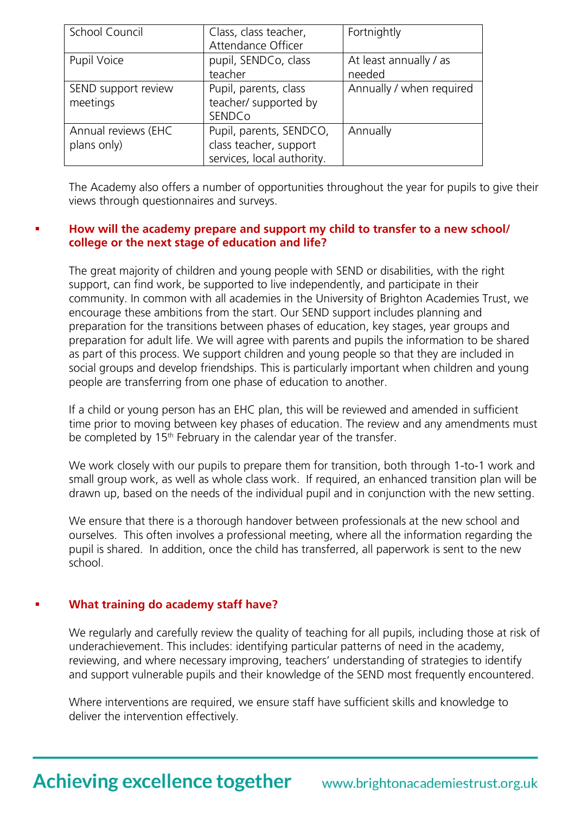| School Council                     | Class, class teacher,<br>Attendance Officer                                     | Fortnightly                      |
|------------------------------------|---------------------------------------------------------------------------------|----------------------------------|
| Pupil Voice                        | pupil, SENDCo, class<br>teacher                                                 | At least annually / as<br>needed |
| SEND support review<br>meetings    | Pupil, parents, class<br>teacher/ supported by<br>SENDCo                        | Annually / when required         |
| Annual reviews (EHC<br>plans only) | Pupil, parents, SENDCO,<br>class teacher, support<br>services, local authority. | Annually                         |

The Academy also offers a number of opportunities throughout the year for pupils to give their views through questionnaires and surveys.

#### **How will the academy prepare and support my child to transfer to a new school/ college or the next stage of education and life?**

The great majority of children and young people with SEND or disabilities, with the right support, can find work, be supported to live independently, and participate in their community. In common with all academies in the University of Brighton Academies Trust, we encourage these ambitions from the start. Our SEND support includes planning and preparation for the transitions between phases of education, key stages, year groups and preparation for adult life. We will agree with parents and pupils the information to be shared as part of this process. We support children and young people so that they are included in social groups and develop friendships. This is particularly important when children and young people are transferring from one phase of education to another.

If a child or young person has an EHC plan, this will be reviewed and amended in sufficient time prior to moving between key phases of education. The review and any amendments must be completed by  $15<sup>th</sup>$  February in the calendar year of the transfer.

We work closely with our pupils to prepare them for transition, both through 1-to-1 work and small group work, as well as whole class work. If required, an enhanced transition plan will be drawn up, based on the needs of the individual pupil and in conjunction with the new setting.

We ensure that there is a thorough handover between professionals at the new school and ourselves. This often involves a professional meeting, where all the information regarding the pupil is shared. In addition, once the child has transferred, all paperwork is sent to the new school.

#### **What training do academy staff have?**

We regularly and carefully review the quality of teaching for all pupils, including those at risk of underachievement. This includes: identifying particular patterns of need in the academy, reviewing, and where necessary improving, teachers' understanding of strategies to identify and support vulnerable pupils and their knowledge of the SEND most frequently encountered.

Where interventions are required, we ensure staff have sufficient skills and knowledge to deliver the intervention effectively.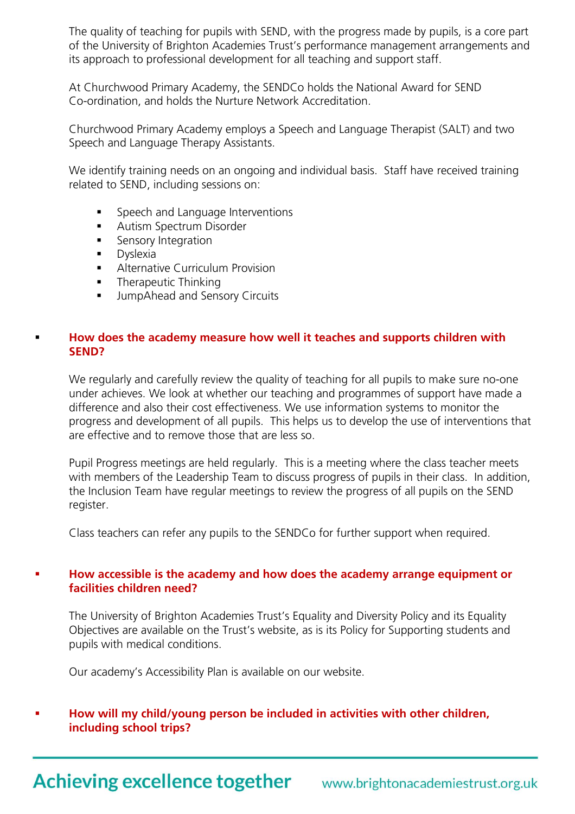The quality of teaching for pupils with SEND, with the progress made by pupils, is a core part of the University of Brighton Academies Trust's performance management arrangements and its approach to professional development for all teaching and support staff.

At Churchwood Primary Academy, the SENDCo holds the National Award for SEND Co-ordination, and holds the Nurture Network Accreditation.

Churchwood Primary Academy employs a Speech and Language Therapist (SALT) and two Speech and Language Therapy Assistants.

We identify training needs on an ongoing and individual basis. Staff have received training related to SEND, including sessions on:

- Speech and Language Interventions
- **Autism Spectrum Disorder**
- **Sensory Integration**
- **Dyslexia**
- **Alternative Curriculum Provision**
- Therapeutic Thinking
- JumpAhead and Sensory Circuits

#### **How does the academy measure how well it teaches and supports children with SEND?**

We regularly and carefully review the quality of teaching for all pupils to make sure no-one under achieves. We look at whether our teaching and programmes of support have made a difference and also their cost effectiveness. We use information systems to monitor the progress and development of all pupils. This helps us to develop the use of interventions that are effective and to remove those that are less so.

Pupil Progress meetings are held regularly. This is a meeting where the class teacher meets with members of the Leadership Team to discuss progress of pupils in their class. In addition, the Inclusion Team have regular meetings to review the progress of all pupils on the SEND register.

Class teachers can refer any pupils to the SENDCo for further support when required.

#### **How accessible is the academy and how does the academy arrange equipment or facilities children need?**

The University of Brighton Academies Trust's Equality and Diversity Policy and its Equality Objectives are available on the Trust's website, as is its Policy for Supporting students and pupils with medical conditions.

Our academy's Accessibility Plan is available on our website.

#### **How will my child/young person be included in activities with other children, including school trips?**

Achieving excellence together www.brightonacademiestrust.org.uk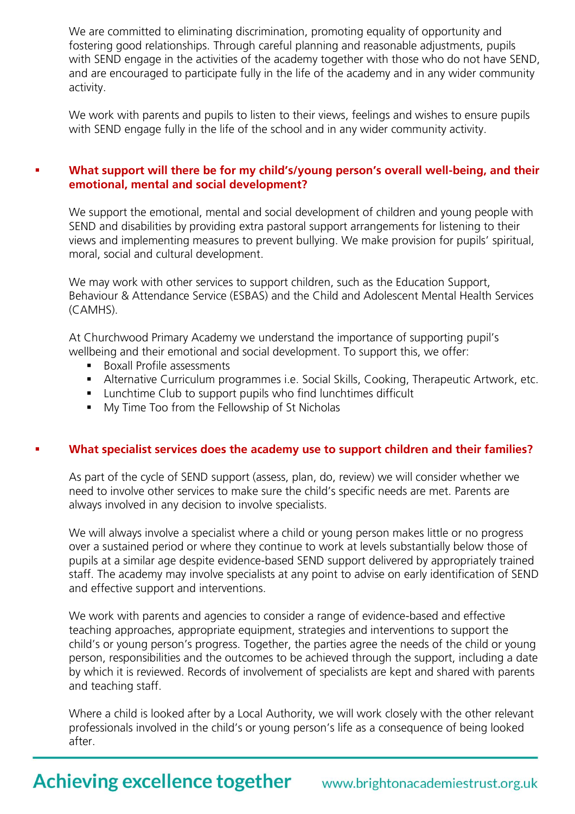We are committed to eliminating discrimination, promoting equality of opportunity and fostering good relationships. Through careful planning and reasonable adjustments, pupils with SEND engage in the activities of the academy together with those who do not have SEND, and are encouraged to participate fully in the life of the academy and in any wider community activity.

We work with parents and pupils to listen to their views, feelings and wishes to ensure pupils with SEND engage fully in the life of the school and in any wider community activity.

#### **What support will there be for my child's/young person's overall well-being, and their emotional, mental and social development?**

We support the emotional, mental and social development of children and young people with SEND and disabilities by providing extra pastoral support arrangements for listening to their views and implementing measures to prevent bullying. We make provision for pupils' spiritual, moral, social and cultural development.

We may work with other services to support children, such as the [Education Support,](http://www.google.co.uk/url?sa=t&rct=j&q=&esrc=s&frm=1&source=web&cd=1&cad=rja&uact=8&ved=0CCEQFjAA&url=http%3A%2F%2Fwww.escis.org.uk%2Fgovernment-and-local-services%2Feducation-support-behaviour-attendance-service%2F&ei=lhOdVY6LGcWwsAHE1If4Dg&usg=AFQjCNFOFoHAoQiiMfCM5E9tzu6R2c-Wvg&bvm=bv.96952980,d.ZGU)  [Behaviour & Attendance Service \(ESBAS\)](http://www.google.co.uk/url?sa=t&rct=j&q=&esrc=s&frm=1&source=web&cd=1&cad=rja&uact=8&ved=0CCEQFjAA&url=http%3A%2F%2Fwww.escis.org.uk%2Fgovernment-and-local-services%2Feducation-support-behaviour-attendance-service%2F&ei=lhOdVY6LGcWwsAHE1If4Dg&usg=AFQjCNFOFoHAoQiiMfCM5E9tzu6R2c-Wvg&bvm=bv.96952980,d.ZGU) and the Child and Adolescent Mental Health Services (CAMHS).

At Churchwood Primary Academy we understand the importance of supporting pupil's wellbeing and their emotional and social development. To support this, we offer:

- **Boxall Profile assessments**
- Alternative Curriculum programmes i.e. Social Skills, Cooking, Therapeutic Artwork, etc.
- **Lunchtime Club to support pupils who find lunchtimes difficult**
- **My Time Too from the Fellowship of St Nicholas**

#### **What specialist services does the academy use to support children and their families?**

As part of the cycle of SEND support (assess, plan, do, review) we will consider whether we need to involve other services to make sure the child's specific needs are met. Parents are always involved in any decision to involve specialists.

We will always involve a specialist where a child or young person makes little or no progress over a sustained period or where they continue to work at levels substantially below those of pupils at a similar age despite evidence-based SEND support delivered by appropriately trained staff. The academy may involve specialists at any point to advise on early identification of SEND and effective support and interventions.

We work with parents and agencies to consider a range of evidence-based and effective teaching approaches, appropriate equipment, strategies and interventions to support the child's or young person's progress. Together, the parties agree the needs of the child or young person, responsibilities and the outcomes to be achieved through the support, including a date by which it is reviewed. Records of involvement of specialists are kept and shared with parents and teaching staff.

Where a child is looked after by a Local Authority, we will work closely with the other relevant professionals involved in the child's or young person's life as a consequence of being looked after.

### **Achieving excellence together**

### www.brightonacademiestrust.org.uk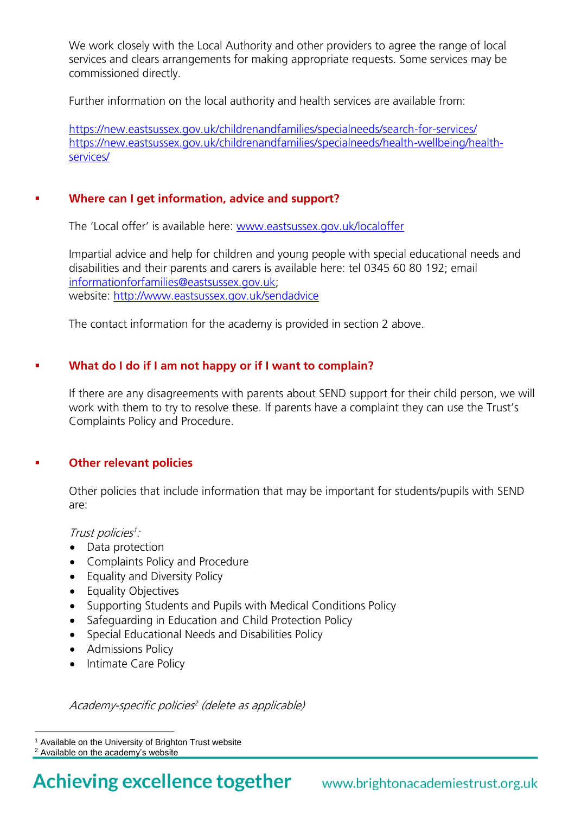We work closely with the Local Authority and other providers to agree the range of local services and clears arrangements for making appropriate requests. Some services may be commissioned directly.

Further information on the local authority and health services are available from:

<https://new.eastsussex.gov.uk/childrenandfamilies/specialneeds/search-for-services/> [https://new.eastsussex.gov.uk/childrenandfamilies/specialneeds/health-wellbeing/health](https://new.eastsussex.gov.uk/childrenandfamilies/specialneeds/health-wellbeing/health-services/)[services/](https://new.eastsussex.gov.uk/childrenandfamilies/specialneeds/health-wellbeing/health-services/)

#### **Where can I get information, advice and support?**

The 'Local offer' is available here: [www.eastsussex.gov.uk/localoffer](http://www.eastsussex.gov.uk/localoffer)

Impartial advice and help for children and young people with special educational needs and disabilities and their parents and carers is available here: tel 0345 60 80 192; email [informationforfamilies@eastsussex.gov.uk;](mailto:informationforfamilies@eastsussex.gov.uk) website:<http://www.eastsussex.gov.uk/sendadvice>

The contact information for the academy is provided in section 2 above.

#### **What do I do if I am not happy or if I want to complain?**

If there are any disagreements with parents about SEND support for their child person, we will work with them to try to resolve these. If parents have a complaint they can use the Trust's Complaints Policy and Procedure.

#### **Other relevant policies**

Other policies that include information that may be important for students/pupils with SEND are:

Trust policies<sup>1</sup>:

- Data protection
- Complaints Policy and Procedure
- Equality and Diversity Policy
- Equality Objectives
- Supporting Students and Pupils with Medical Conditions Policy
- Safeguarding in Education and Child Protection Policy
- Special Educational Needs and Disabilities Policy
- Admissions Policy
- Intimate Care Policy

Academy-specific policies 2 (delete as applicable)

 $\overline{a}$ 

<sup>&</sup>lt;sup>1</sup> Available on the University of Brighton Trust website

<sup>2</sup> Available on the academy's website